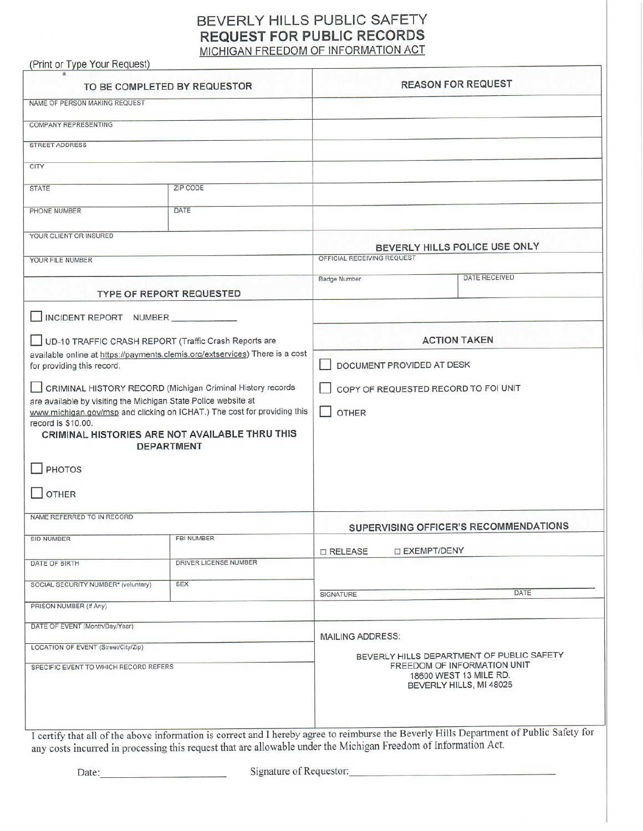# BEVERLY HILLS PUBLIC SAFETY **REQUEST FOR PUBLIC RECORDS** MICHIGAN FREEDOM OF INFORMATION ACT

(Print or Type Your Request)

| TO BE COMPLETED BY REQUESTOR                                                                               |                       | <b>REASON FOR REQUEST</b>                                                                                                                                |                                                                                                                 |  |  |
|------------------------------------------------------------------------------------------------------------|-----------------------|----------------------------------------------------------------------------------------------------------------------------------------------------------|-----------------------------------------------------------------------------------------------------------------|--|--|
| NAME OF PERSON MAKING REQUEST                                                                              |                       |                                                                                                                                                          |                                                                                                                 |  |  |
| <b>COMPANY REPRESENTING</b>                                                                                |                       |                                                                                                                                                          |                                                                                                                 |  |  |
| <b>STREET ADDRESS</b>                                                                                      |                       |                                                                                                                                                          |                                                                                                                 |  |  |
| CITY                                                                                                       |                       |                                                                                                                                                          |                                                                                                                 |  |  |
| <b>STATE</b>                                                                                               | ZIP CODE              |                                                                                                                                                          |                                                                                                                 |  |  |
|                                                                                                            |                       |                                                                                                                                                          |                                                                                                                 |  |  |
| PHONE NUMBER                                                                                               | DATE                  |                                                                                                                                                          |                                                                                                                 |  |  |
| YOUR CLIENT OR INSURED                                                                                     |                       | BEVERLY HILLS POLICE USE ONLY                                                                                                                            |                                                                                                                 |  |  |
| YOUR FILE NUMBER                                                                                           |                       | OFFICIAL RECEIVING REQUEST                                                                                                                               |                                                                                                                 |  |  |
|                                                                                                            |                       | <b>Badge Number</b>                                                                                                                                      | <b>DATE RECEIVED</b>                                                                                            |  |  |
| <b>TYPE OF REPORT REQUESTED</b>                                                                            |                       |                                                                                                                                                          |                                                                                                                 |  |  |
| INCIDENT REPORT NUMBER                                                                                     |                       |                                                                                                                                                          |                                                                                                                 |  |  |
| UD-10 TRAFFIC CRASH REPORT (Traffic Crash Reports are                                                      |                       | <b>ACTION TAKEN</b>                                                                                                                                      |                                                                                                                 |  |  |
| available online at https://payments.clemis.org/extservices) There is a cost<br>for providing this record. |                       | DOCUMENT PROVIDED AT DESK                                                                                                                                |                                                                                                                 |  |  |
| CRIMINAL HISTORY RECORD (Michigan Criminal History records                                                 |                       | COPY OF REQUESTED RECORD TO FOI UNIT                                                                                                                     |                                                                                                                 |  |  |
| are available by visiting the Michigan State Police website at                                             |                       |                                                                                                                                                          |                                                                                                                 |  |  |
| www.michigan.gov/msp and clicking on ICHAT.) The cost for providing this<br>record is \$10.00.             |                       | <b>OTHER</b>                                                                                                                                             |                                                                                                                 |  |  |
| CRIMINAL HISTORIES ARE NOT AVAILABLE THRU THIS                                                             |                       |                                                                                                                                                          |                                                                                                                 |  |  |
| <b>DEPARTMENT</b>                                                                                          |                       |                                                                                                                                                          |                                                                                                                 |  |  |
| <b>PHOTOS</b>                                                                                              |                       |                                                                                                                                                          |                                                                                                                 |  |  |
| <b>OTHER</b>                                                                                               |                       |                                                                                                                                                          |                                                                                                                 |  |  |
|                                                                                                            |                       |                                                                                                                                                          |                                                                                                                 |  |  |
| NAME REFERRED TO IN RECORD                                                                                 |                       | SUPERVISING OFFICER'S RECOMMENDATIONS                                                                                                                    |                                                                                                                 |  |  |
| SID NUMBER                                                                                                 | FBI NUMBER            |                                                                                                                                                          | <b>DEXEMPT/DENY</b>                                                                                             |  |  |
| DATE OF BIRTH                                                                                              | DRIVER LICENSE NUMBER | <b>D</b> RELEASE                                                                                                                                         |                                                                                                                 |  |  |
| SOCIAL SECURITY NUMBER* (voluntary)                                                                        | <b>SEX</b>            |                                                                                                                                                          |                                                                                                                 |  |  |
|                                                                                                            |                       | <b>SIGNATURE</b>                                                                                                                                         | DATE                                                                                                            |  |  |
| PRISON NUMBER (If Any)                                                                                     |                       |                                                                                                                                                          |                                                                                                                 |  |  |
| DATE OF EVENT (Month/Day/Year)                                                                             |                       | <b>MAILING ADDRESS:</b><br>BEVERLY HILLS DEPARTMENT OF PUBLIC SAFETY<br>FREEDOM OF INFORMATION UNIT<br>18600 WEST 13 MILE RD.<br>BEVERLY HILLS, MI 48025 |                                                                                                                 |  |  |
| LOCATION OF EVENT (Street/City/Zip)                                                                        |                       |                                                                                                                                                          |                                                                                                                 |  |  |
| SPECIFIC EVENT TO WHICH RECORD REFERS                                                                      |                       |                                                                                                                                                          |                                                                                                                 |  |  |
|                                                                                                            |                       |                                                                                                                                                          |                                                                                                                 |  |  |
|                                                                                                            |                       |                                                                                                                                                          |                                                                                                                 |  |  |
|                                                                                                            |                       |                                                                                                                                                          | any costs incurred in processing this request that are allowable under the Michigan Freedom of Information Act. |  |  |

Date:

Signature of Requestor: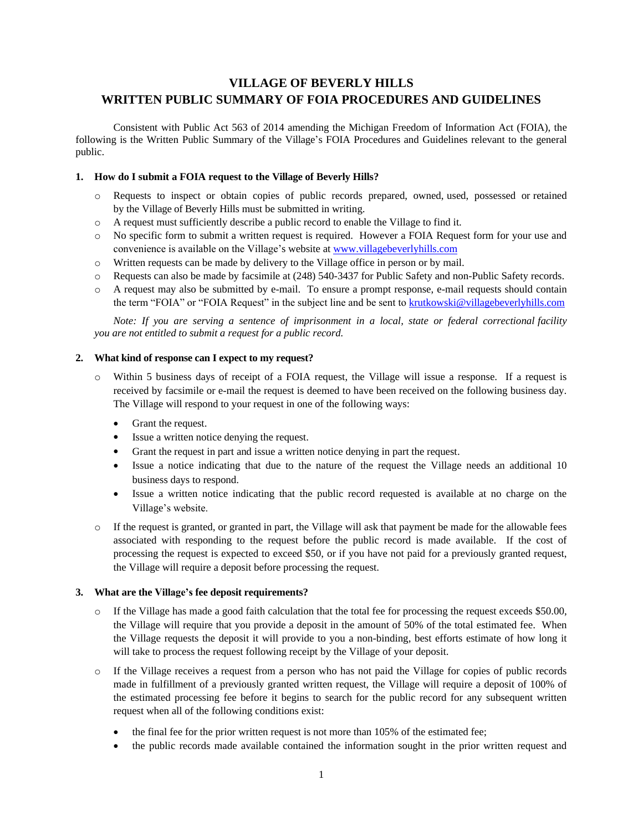## **VILLAGE OF BEVERLY HILLS WRITTEN PUBLIC SUMMARY OF FOIA PROCEDURES AND GUIDELINES**

Consistent with Public Act 563 of 2014 amending the Michigan Freedom of Information Act (FOIA), the following is the Written Public Summary of the Village's FOIA Procedures and Guidelines relevant to the general public.

#### **1. How do I submit a FOIA request to the Village of Beverly Hills?**

- Requests to inspect or obtain copies of public records prepared, owned, used, possessed or retained by the Village of Beverly Hills must be submitted in writing.
- o A request must sufficiently describe a public record to enable the Village to find it.
- o No specific form to submit a written request is required. However a FOIA Request form for your use and convenience is available on the Village's website at [www.villagebeverlyhills.com](http://www.villagebeverlyhills.com/)
- o Written requests can be made by delivery to the Village office in person or by mail.
- o Requests can also be made by facsimile at (248) 540-3437 for Public Safety and non-Public Safety records.
- o A request may also be submitted by e-mail. To ensure a prompt response, e-mail requests should contain the term "FOIA" or "FOIA Request" in the subject line and be sent to [krutkowski@villagebeverlyhills.com](mailto:krutkowski@villagebeverlyhills.com)

*Note: If you are serving a sentence of imprisonment in a local, state or federal correctional facility you are not entitled to submit a request for a public record.*

#### **2. What kind of response can I expect to my request?**

- o Within 5 business days of receipt of a FOIA request, the Village will issue a response. If a request is received by facsimile or e-mail the request is deemed to have been received on the following business day. The Village will respond to your request in one of the following ways:
	- Grant the request.
	- Issue a written notice denying the request.
	- Grant the request in part and issue a written notice denying in part the request.
	- Issue a notice indicating that due to the nature of the request the Village needs an additional 10 business days to respond.
	- Issue a written notice indicating that the public record requested is available at no charge on the Village's website.
- $\circ$  If the request is granted, or granted in part, the Village will ask that payment be made for the allowable fees associated with responding to the request before the public record is made available. If the cost of processing the request is expected to exceed \$50, or if you have not paid for a previously granted request, the Village will require a deposit before processing the request.

#### **3. What are the Village's fee deposit requirements?**

- o If the Village has made a good faith calculation that the total fee for processing the request exceeds \$50.00, the Village will require that you provide a deposit in the amount of 50% of the total estimated fee. When the Village requests the deposit it will provide to you a non-binding, best efforts estimate of how long it will take to process the request following receipt by the Village of your deposit.
- o If the Village receives a request from a person who has not paid the Village for copies of public records made in fulfillment of a previously granted written request, the Village will require a deposit of 100% of the estimated processing fee before it begins to search for the public record for any subsequent written request when all of the following conditions exist:
	- the final fee for the prior written request is not more than 105% of the estimated fee;
	- the public records made available contained the information sought in the prior written request and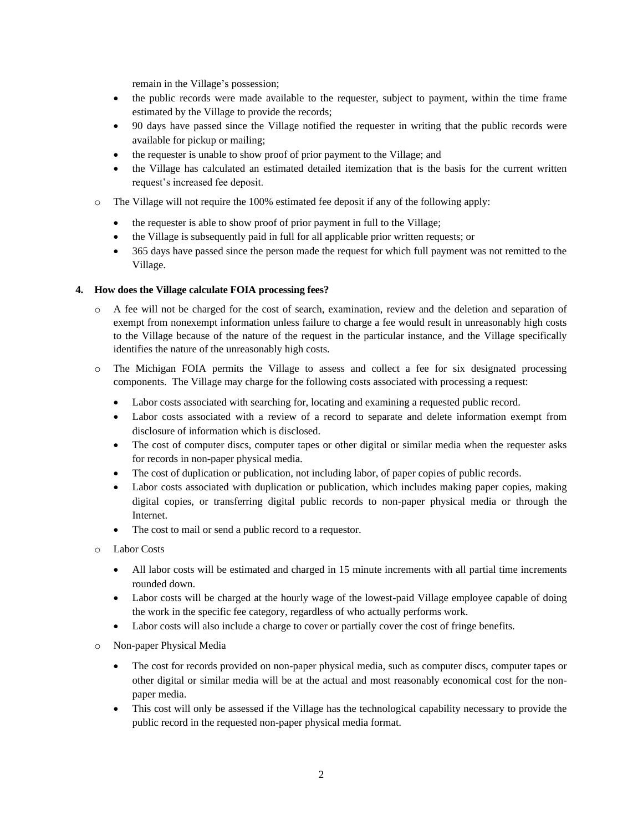remain in the Village's possession;

- the public records were made available to the requester, subject to payment, within the time frame estimated by the Village to provide the records;
- 90 days have passed since the Village notified the requester in writing that the public records were available for pickup or mailing;
- the requester is unable to show proof of prior payment to the Village; and
- the Village has calculated an estimated detailed itemization that is the basis for the current written request's increased fee deposit.
- o The Village will not require the 100% estimated fee deposit if any of the following apply:
	- the requester is able to show proof of prior payment in full to the Village;
	- the Village is subsequently paid in full for all applicable prior written requests; or
	- 365 days have passed since the person made the request for which full payment was not remitted to the Village.

#### **4. How does the Village calculate FOIA processing fees?**

- o A fee will not be charged for the cost of search, examination, review and the deletion and separation of exempt from nonexempt information unless failure to charge a fee would result in unreasonably high costs to the Village because of the nature of the request in the particular instance, and the Village specifically identifies the nature of the unreasonably high costs.
- o The Michigan FOIA permits the Village to assess and collect a fee for six designated processing components. The Village may charge for the following costs associated with processing a request:
	- Labor costs associated with searching for, locating and examining a requested public record.
	- Labor costs associated with a review of a record to separate and delete information exempt from disclosure of information which is disclosed.
	- The cost of computer discs, computer tapes or other digital or similar media when the requester asks for records in non-paper physical media.
	- The cost of duplication or publication, not including labor, of paper copies of public records.
	- Labor costs associated with duplication or publication, which includes making paper copies, making digital copies, or transferring digital public records to non-paper physical media or through the Internet.
	- The cost to mail or send a public record to a requestor.
- o Labor Costs
	- All labor costs will be estimated and charged in 15 minute increments with all partial time increments rounded down.
	- Labor costs will be charged at the hourly wage of the lowest-paid Village employee capable of doing the work in the specific fee category, regardless of who actually performs work.
	- Labor costs will also include a charge to cover or partially cover the cost of fringe benefits.
- o Non-paper Physical Media
	- The cost for records provided on non-paper physical media, such as computer discs, computer tapes or other digital or similar media will be at the actual and most reasonably economical cost for the nonpaper media.
	- This cost will only be assessed if the Village has the technological capability necessary to provide the public record in the requested non-paper physical media format.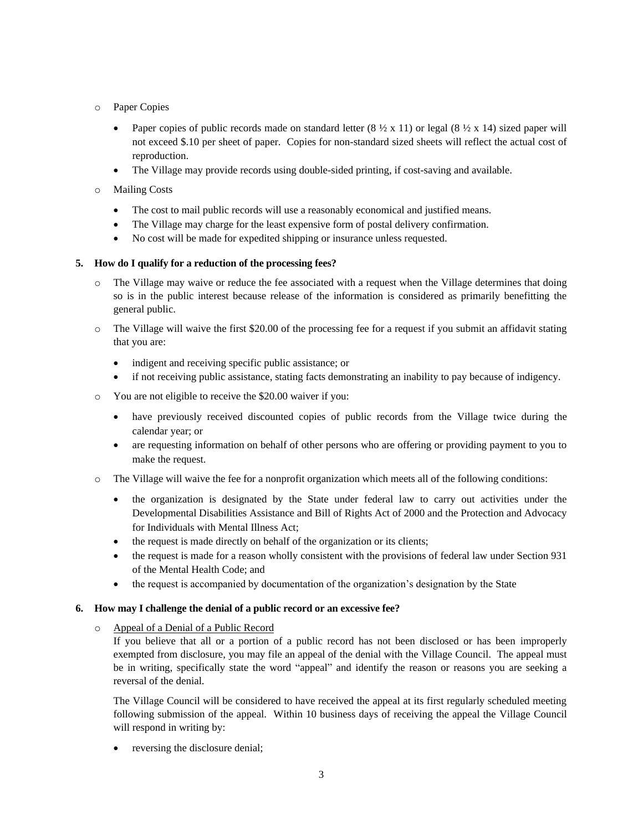- o Paper Copies
	- Paper copies of public records made on standard letter  $(8 \frac{1}{2} \times 11)$  or legal  $(8 \frac{1}{2} \times 14)$  sized paper will not exceed \$.10 per sheet of paper. Copies for non-standard sized sheets will reflect the actual cost of reproduction.
	- The Village may provide records using double-sided printing, if cost-saving and available.
- o Mailing Costs
	- The cost to mail public records will use a reasonably economical and justified means.
	- The Village may charge for the least expensive form of postal delivery confirmation.
	- No cost will be made for expedited shipping or insurance unless requested.

## **5. How do I qualify for a reduction of the processing fees?**

- The Village may waive or reduce the fee associated with a request when the Village determines that doing so is in the public interest because release of the information is considered as primarily benefitting the general public.
- o The Village will waive the first \$20.00 of the processing fee for a request if you submit an affidavit stating that you are:
	- indigent and receiving specific public assistance; or
	- if not receiving public assistance, stating facts demonstrating an inability to pay because of indigency.
- o You are not eligible to receive the \$20.00 waiver if you:
	- have previously received discounted copies of public records from the Village twice during the calendar year; or
	- are requesting information on behalf of other persons who are offering or providing payment to you to make the request.
- o The Village will waive the fee for a nonprofit organization which meets all of the following conditions:
	- the organization is designated by the State under federal law to carry out activities under the Developmental Disabilities Assistance and Bill of Rights Act of 2000 and the Protection and Advocacy for Individuals with Mental Illness Act;
	- the request is made directly on behalf of the organization or its clients;
	- the request is made for a reason wholly consistent with the provisions of federal law under Section 931 of the Mental Health Code; and
	- the request is accompanied by documentation of the organization's designation by the State

## **6. How may I challenge the denial of a public record or an excessive fee?**

## o Appeal of a Denial of a Public Record

If you believe that all or a portion of a public record has not been disclosed or has been improperly exempted from disclosure, you may file an appeal of the denial with the Village Council. The appeal must be in writing, specifically state the word "appeal" and identify the reason or reasons you are seeking a reversal of the denial.

The Village Council will be considered to have received the appeal at its first regularly scheduled meeting following submission of the appeal. Within 10 business days of receiving the appeal the Village Council will respond in writing by:

reversing the disclosure denial;